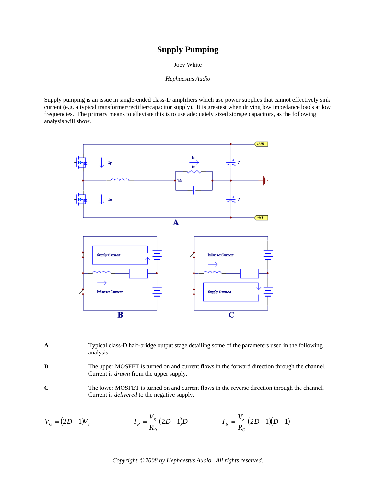## **Supply Pumping**

Joey White

*Hephaestus Audio* 

Supply pumping is an issue in single-ended class-D amplifiers which use power supplies that cannot effectively sink current (e.g. a typical transformer/rectifier/capacitor supply). It is greatest when driving low impedance loads at low frequencies. The primary means to alleviate this is to use adequately sized storage capacitors, as the following analysis will show.



- **A** Typical class-D half-bridge output stage detailing some of the parameters used in the following analysis.
- **B** The upper MOSFET is turned on and current flows in the forward direction through the channel. Current is *drawn* from the upper supply.
- **C** The lower MOSFET is turned on and current flows in the reverse direction through the channel. Current is *delivered* to the negative supply.

$$
V_o = (2D-1)V_s
$$
  
\n
$$
I_P = \frac{V_s}{R_o}(2D-1)D
$$
  
\n
$$
I_N = \frac{V_s}{R_o}(2D-1)(D-1)
$$

*Copyright* © *2008 by Hephaestus Audio. All rights reserved.*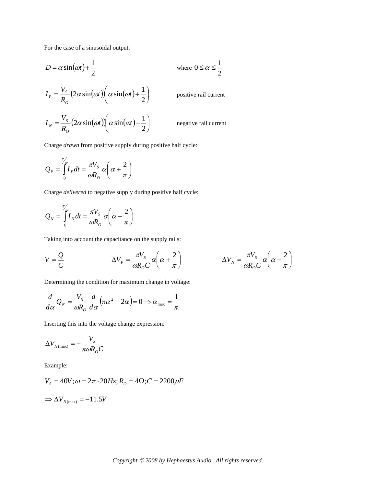For the case of a sinusoidal output:

$$
D = \alpha \sin(\omega t) + \frac{1}{2}
$$
 where  $0 \le \alpha \le \frac{1}{2}$ 

$$
I_{P} = \frac{V_{S}}{R_{O}} (2\alpha \sin(\omega t)) \left(\alpha \sin(\omega t) + \frac{1}{2}\right)
$$
 positive rail current  

$$
I_{N} = \frac{V_{S}}{R_{O}} (2\alpha \sin(\omega t)) \left(\alpha \sin(\omega t) - \frac{1}{2}\right)
$$
negative rail current

Charge *drawn* from positive supply during positive half cycle:

$$
Q_P = \int_0^{\pi/2} I_P dt = \frac{\pi V_s}{\omega R_o} \alpha \left( \alpha + \frac{2}{\pi} \right)
$$

Charge *delivered* to negative supply during positive half cycle:

$$
Q_N = \int_0^{\pi/6} I_N dt = \frac{\pi V_S}{\omega R_o} \alpha \left( \alpha - \frac{2}{\pi} \right)
$$

Taking into account the capacitance on the supply rails:

$$
V = \frac{Q}{C} \qquad \Delta V_p = \frac{\pi V_s}{\omega R_o C} \alpha \left( \alpha + \frac{2}{\pi} \right) \qquad \Delta V_N = \frac{\pi V_s}{\omega R_o C} \alpha \left( \alpha - \frac{2}{\pi} \right)
$$

Determining the condition for maximum change in voltage:

$$
\frac{d}{d\alpha}Q_N = \frac{V_S}{\omega R_O} \frac{d}{d\alpha} (\pi \alpha^2 - 2\alpha) = 0 \Rightarrow \alpha_{\text{max}} = \frac{1}{\pi}
$$

Inserting this into the voltage change expression:

$$
\Delta V_{N(\text{max})} = -\frac{V_s}{\pi \omega R_o C}
$$

Example:

$$
V_s = 40V; \omega = 2\pi \cdot 20Hz; R_o = 4\Omega; C = 2200 \mu F
$$
  
\n
$$
\Rightarrow \Delta V_{N(\text{max})} = -11.5V
$$